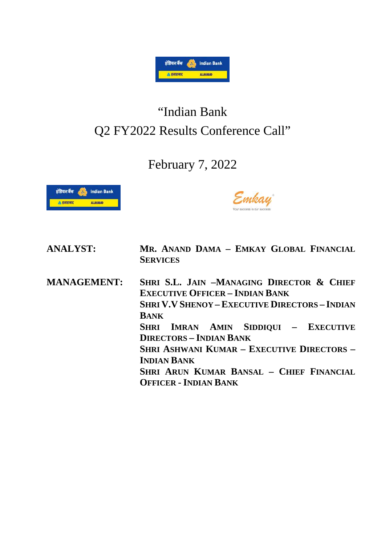

## "Indian Bank Q2 FY2022 Results Conference Call"

## February 7, 2022



Emkay

| <b>ANALYST:</b>    | MR. ANAND DAMA - EMKAY GLOBAL FINANCIAL<br><b>SERVICES</b>                                                                                                                                                                                                                                                                                                                                   |
|--------------------|----------------------------------------------------------------------------------------------------------------------------------------------------------------------------------------------------------------------------------------------------------------------------------------------------------------------------------------------------------------------------------------------|
| <b>MANAGEMENT:</b> | SHRI S.L. JAIN -MANAGING DIRECTOR & CHIEF<br><b>EXECUTIVE OFFICER - INDIAN BANK</b><br><b>SHRI V.V SHENOY - EXECUTIVE DIRECTORS - INDIAN</b><br><b>BANK</b><br>SHRI IMRAN AMIN SIDDIQUI - EXECUTIVE<br><b>DIRECTORS - INDIAN BANK</b><br><b>SHRI ASHWANI KUMAR - EXECUTIVE DIRECTORS -</b><br><b>INDIAN BANK</b><br>SHRI ARUN KUMAR BANSAL - CHIEF FINANCIAL<br><b>OFFICER - INDIAN BANK</b> |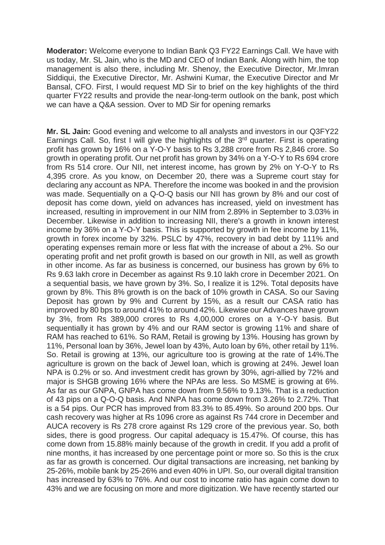**Moderator:** Welcome everyone to Indian Bank Q3 FY22 Earnings Call. We have with us today, Mr. SL Jain, who is the MD and CEO of Indian Bank. Along with him, the top management is also there, including Mr. Shenoy, the Executive Director, Mr.Imran Siddiqui, the Executive Director, Mr. Ashwini Kumar, the Executive Director and Mr Bansal, CFO. First, I would request MD Sir to brief on the key highlights of the third quarter FY22 results and provide the near-long-term outlook on the bank, post which we can have a Q&A session. Over to MD Sir for opening remarks

**Mr. SL Jain:** Good evening and welcome to all analysts and investors in our Q3FY22 Earnings Call. So, first I will give the highlights of the  $3<sup>rd</sup>$  quarter. First is operating profit has grown by 16% on a Y-O-Y basis to Rs 3,288 crore from Rs 2,846 crore. So growth in operating profit. Our net profit has grown by 34% on a Y-O-Y to Rs 694 crore from Rs 514 crore. Our NII, net interest income, has grown by 2% on Y-O-Y to Rs 4,395 crore. As you know, on December 20, there was a Supreme court stay for declaring any account as NPA. Therefore the income was booked in and the provision was made. Sequentially on a Q-O-Q basis our NII has grown by 8% and our cost of deposit has come down, yield on advances has increased, yield on investment has increased, resulting in improvement in our NIM from 2.89% in September to 3.03% in December. Likewise in addition to increasing NII, there's a growth in known interest income by 36% on a Y-O-Y basis. This is supported by growth in fee income by 11%, growth in forex income by 32%. PSLC by 47%, recovery in bad debt by 111% and operating expenses remain more or less flat with the increase of about a 2%. So our operating profit and net profit growth is based on our growth in NII, as well as growth in other income. As far as business is concerned, our business has grown by 6% to Rs 9.63 lakh crore in December as against Rs 9.10 lakh crore in December 2021. On a sequential basis, we have grown by 3%. So, I realize it is 12%. Total deposits have grown by 8%. This 8% growth is on the back of 10% growth in CASA. So our Saving Deposit has grown by 9% and Current by 15%, as a result our CASA ratio has improved by 80 bps to around 41% to around 42%. Likewise our Advances have grown by 3%, from Rs 389,000 crores to Rs 4,00,000 crores on a Y-O-Y basis. But sequentially it has grown by 4% and our RAM sector is growing 11% and share of RAM has reached to 61%. So RAM, Retail is growing by 13%. Housing has grown by 11%, Personal loan by 36%, Jewel loan by 43%, Auto loan by 6%, other retail by 11%. So. Retail is growing at 13%, our agriculture too is growing at the rate of 14%.The agriculture is grown on the back of Jewel loan, which is growing at 24%. Jewel loan NPA is 0.2% or so. And investment credit has grown by 30%, agri-allied by 72% and major is SHGB growing 16% where the NPAs are less. So MSME is growing at 6%. As far as our GNPA, GNPA has come down from 9.56% to 9.13%. That is a reduction of 43 pips on a Q-O-Q basis. And NNPA has come down from 3.26% to 2.72%. That is a 54 pips. Our PCR has improved from 83.3% to 85.49%. So around 200 bps. Our cash recovery was higher at Rs 1096 crore as against Rs 744 crore in December and AUCA recovery is Rs 278 crore against Rs 129 crore of the previous year. So, both sides, there is good progress. Our capital adequacy is 15.47%. Of course, this has come down from 15.88% mainly because of the growth in credit. If you add a profit of nine months, it has increased by one percentage point or more so. So this is the crux as far as growth is concerned. Our digital transactions are increasing, net banking by 25-26%, mobile bank by 25-26% and even 40% in UPI. So, our overall digital transition has increased by 63% to 76%. And our cost to income ratio has again come down to 43% and we are focusing on more and more digitization. We have recently started our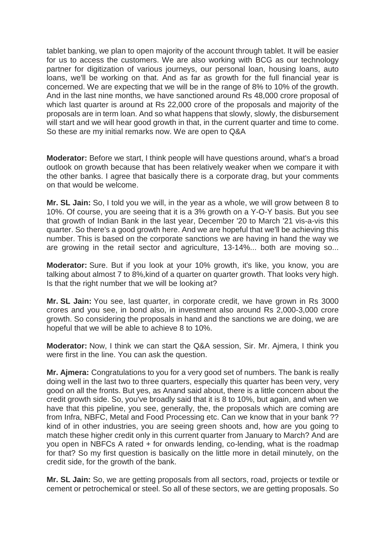tablet banking, we plan to open majority of the account through tablet. It will be easier for us to access the customers. We are also working with BCG as our technology partner for digitization of various journeys, our personal loan, housing loans, auto loans, we'll be working on that. And as far as growth for the full financial year is concerned. We are expecting that we will be in the range of 8% to 10% of the growth. And in the last nine months, we have sanctioned around Rs 48,000 crore proposal of which last quarter is around at Rs 22,000 crore of the proposals and majority of the proposals are in term loan. And so what happens that slowly, slowly, the disbursement will start and we will hear good growth in that, in the current quarter and time to come. So these are my initial remarks now. We are open to Q&A

**Moderator:** Before we start, I think people will have questions around, what's a broad outlook on growth because that has been relatively weaker when we compare it with the other banks. I agree that basically there is a corporate drag, but your comments on that would be welcome.

**Mr. SL Jain:** So, I told you we will, in the year as a whole, we will grow between 8 to 10%. Of course, you are seeing that it is a 3% growth on a Y-O-Y basis. But you see that growth of Indian Bank in the last year, December '20 to March '21 vis-a-vis this quarter. So there's a good growth here. And we are hopeful that we'll be achieving this number. This is based on the corporate sanctions we are having in hand the way we are growing in the retail sector and agriculture, 13-14%... both are moving so...

**Moderator:** Sure. But if you look at your 10% growth, it's like, you know, you are talking about almost 7 to 8%,kind of a quarter on quarter growth. That looks very high. Is that the right number that we will be looking at?

**Mr. SL Jain:** You see, last quarter, in corporate credit, we have grown in Rs 3000 crores and you see, in bond also, in investment also around Rs 2,000-3,000 crore growth. So considering the proposals in hand and the sanctions we are doing, we are hopeful that we will be able to achieve 8 to 10%.

**Moderator:** Now, I think we can start the Q&A session, Sir. Mr. Ajmera, I think you were first in the line. You can ask the question.

**Mr. Ajmera:** Congratulations to you for a very good set of numbers. The bank is really doing well in the last two to three quarters, especially this quarter has been very, very good on all the fronts. But yes, as Anand said about, there is a little concern about the credit growth side. So, you've broadly said that it is 8 to 10%, but again, and when we have that this pipeline, you see, generally, the, the proposals which are coming are from Infra, NBFC, Metal and Food Processing etc. Can we know that in your bank ?? kind of in other industries, you are seeing green shoots and, how are you going to match these higher credit only in this current quarter from January to March? And are you open in NBFCs A rated + for onwards lending, co-lending, what is the roadmap for that? So my first question is basically on the little more in detail minutely, on the credit side, for the growth of the bank.

**Mr. SL Jain:** So, we are getting proposals from all sectors, road, projects or textile or cement or petrochemical or steel. So all of these sectors, we are getting proposals. So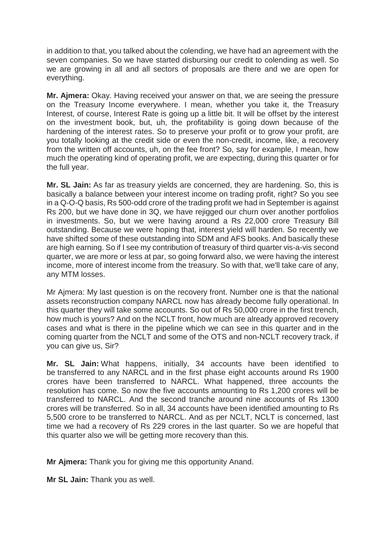in addition to that, you talked about the colending, we have had an agreement with the seven companies. So we have started disbursing our credit to colending as well. So we are growing in all and all sectors of proposals are there and we are open for everything.

**Mr. Ajmera:** Okay. Having received your answer on that, we are seeing the pressure on the Treasury Income everywhere. I mean, whether you take it, the Treasury Interest, of course, Interest Rate is going up a little bit. It will be offset by the interest on the investment book, but, uh, the profitability is going down because of the hardening of the interest rates. So to preserve your profit or to grow your profit, are you totally looking at the credit side or even the non-credit, income, like, a recovery from the written off accounts, uh, on the fee front? So, say for example, I mean, how much the operating kind of operating profit, we are expecting, during this quarter or for the full year.

**Mr. SL Jain:** As far as treasury yields are concerned, they are hardening. So, this is basically a balance between your interest income on trading profit, right? So you see in a Q-O-Q basis, Rs 500-odd crore of the trading profit we had in September is against Rs 200, but we have done in 3Q, we have rejigged our churn over another portfolios in investments. So, but we were having around a Rs 22,000 crore Treasury Bill outstanding. Because we were hoping that, interest yield will harden. So recently we have shifted some of these outstanding into SDM and AFS books. And basically these are high earning. So if I see my contribution of treasury of third quarter vis-a-vis second quarter, we are more or less at par, so going forward also, we were having the interest income, more of interest income from the treasury. So with that, we'll take care of any, any MTM losses.

Mr Ajmera: My last question is on the recovery front. Number one is that the national assets reconstruction company NARCL now has already become fully operational. In this quarter they will take some accounts. So out of Rs 50,000 crore in the first trench, how much is yours? And on the NCLT front, how much are already approved recovery cases and what is there in the pipeline which we can see in this quarter and in the coming quarter from the NCLT and some of the OTS and non-NCLT recovery track, if you can give us, Sir?

**Mr. SL Jain:** What happens, initially, 34 accounts have been identified to be transferred to any NARCL and in the first phase eight accounts around Rs 1900 crores have been transferred to NARCL. What happened, three accounts the resolution has come. So now the five accounts amounting to Rs 1,200 crores will be transferred to NARCL. And the second tranche around nine accounts of Rs 1300 crores will be transferred. So in all, 34 accounts have been identified amounting to Rs 5,500 crore to be transferred to NARCL. And as per NCLT, NCLT is concerned, last time we had a recovery of Rs 229 crores in the last quarter. So we are hopeful that this quarter also we will be getting more recovery than this.

**Mr Ajmera:** Thank you for giving me this opportunity Anand.

**Mr SL Jain:** Thank you as well.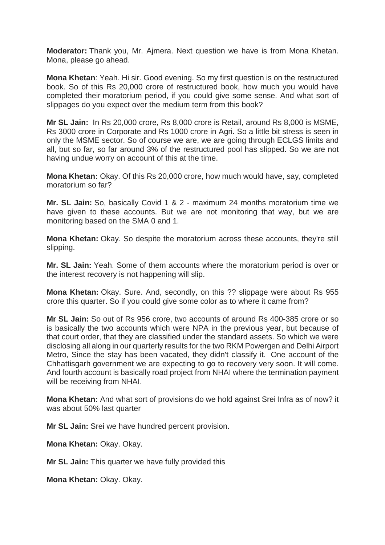**Moderator:** Thank you, Mr. Ajmera. Next question we have is from Mona Khetan. Mona, please go ahead.

**Mona Khetan**: Yeah. Hi sir. Good evening. So my first question is on the restructured book. So of this Rs 20,000 crore of restructured book, how much you would have completed their moratorium period, if you could give some sense. And what sort of slippages do you expect over the medium term from this book?

**Mr SL Jain:** In Rs 20,000 crore, Rs 8,000 crore is Retail, around Rs 8,000 is MSME, Rs 3000 crore in Corporate and Rs 1000 crore in Agri. So a little bit stress is seen in only the MSME sector. So of course we are, we are going through ECLGS limits and all, but so far, so far around 3% of the restructured pool has slipped. So we are not having undue worry on account of this at the time.

**Mona Khetan:** Okay. Of this Rs 20,000 crore, how much would have, say, completed moratorium so far?

**Mr. SL Jain:** So, basically Covid 1 & 2 - maximum 24 months moratorium time we have given to these accounts. But we are not monitoring that way, but we are monitoring based on the SMA 0 and 1.

**Mona Khetan:** Okay. So despite the moratorium across these accounts, they're still slipping.

**Mr. SL Jain:** Yeah. Some of them accounts where the moratorium period is over or the interest recovery is not happening will slip.

**Mona Khetan:** Okay. Sure. And, secondly, on this ?? slippage were about Rs 955 crore this quarter. So if you could give some color as to where it came from?

**Mr SL Jain:** So out of Rs 956 crore, two accounts of around Rs 400-385 crore or so is basically the two accounts which were NPA in the previous year, but because of that court order, that they are classified under the standard assets. So which we were disclosing all along in our quarterly results for the two RKM Powergen and Delhi Airport Metro, Since the stay has been vacated, they didn't classify it. One account of the Chhattisgarh government we are expecting to go to recovery very soon. It will come. And fourth account is basically road project from NHAI where the termination payment will be receiving from NHAI.

**Mona Khetan:** And what sort of provisions do we hold against Srei Infra as of now? it was about 50% last quarter

**Mr SL Jain:** Srei we have hundred percent provision.

**Mona Khetan:** Okay. Okay.

**Mr SL Jain:** This quarter we have fully provided this

**Mona Khetan:** Okay. Okay.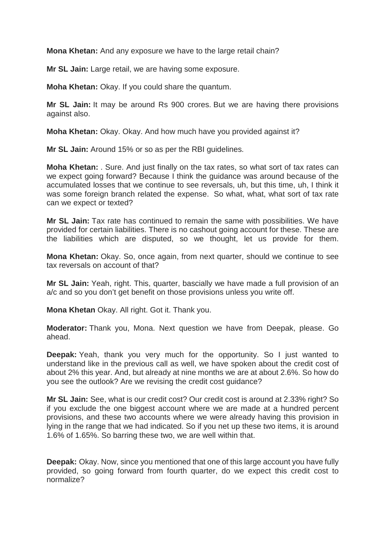**Mona Khetan:** And any exposure we have to the large retail chain?

**Mr SL Jain:** Large retail, we are having some exposure.

**Moha Khetan:** Okay. If you could share the quantum.

**Mr SL Jain:** It may be around Rs 900 crores. But we are having there provisions against also.

**Moha Khetan:** Okay. Okay. And how much have you provided against it?

**Mr SL Jain:** Around 15% or so as per the RBI guidelines.

**Moha Khetan:** . Sure. And just finally on the tax rates, so what sort of tax rates can we expect going forward? Because I think the guidance was around because of the accumulated losses that we continue to see reversals, uh, but this time, uh, I think it was some foreign branch related the expense. So what, what, what sort of tax rate can we expect or texted?

**Mr SL Jain:** Tax rate has continued to remain the same with possibilities. We have provided for certain liabilities. There is no cashout going account for these. These are the liabilities which are disputed, so we thought, let us provide for them.

**Mona Khetan:** Okay. So, once again, from next quarter, should we continue to see tax reversals on account of that?

**Mr SL Jain:** Yeah, right. This, quarter, bascially we have made a full provision of an a/c and so you don't get benefit on those provisions unless you write off.

**Mona Khetan** Okay. All right. Got it. Thank you.

**Moderator:** Thank you, Mona. Next question we have from Deepak, please. Go ahead.

**Deepak:** Yeah, thank you very much for the opportunity. So I just wanted to understand like in the previous call as well, we have spoken about the credit cost of about 2% this year. And, but already at nine months we are at about 2.6%. So how do you see the outlook? Are we revising the credit cost guidance?

**Mr SL Jain:** See, what is our credit cost? Our credit cost is around at 2.33% right? So if you exclude the one biggest account where we are made at a hundred percent provisions, and these two accounts where we were already having this provision in lying in the range that we had indicated. So if you net up these two items, it is around 1.6% of 1.65%. So barring these two, we are well within that.

**Deepak:** Okay. Now, since you mentioned that one of this large account you have fully provided, so going forward from fourth quarter, do we expect this credit cost to normalize?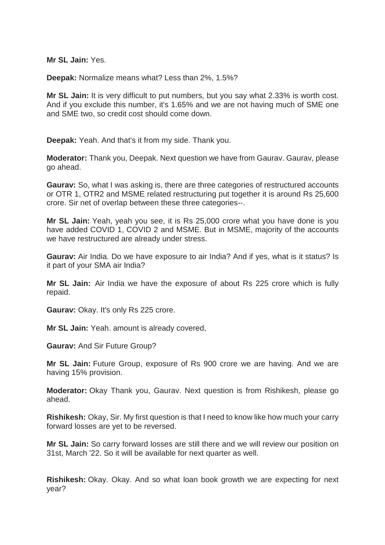**Mr SL Jain:** Yes.

**Deepak:** Normalize means what? Less than 2%, 1.5%?

**Mr SL Jain:** It is very difficult to put numbers, but you say what 2.33% is worth cost. And if you exclude this number, it's 1.65% and we are not having much of SME one and SME two, so credit cost should come down.

**Deepak:** Yeah. And that's it from my side. Thank you.

**Moderator:** Thank you, Deepak. Next question we have from Gaurav. Gaurav, please go ahead.

**Gaurav:** So, what I was asking is, there are three categories of restructured accounts or OTR 1, OTR2 and MSME related restructuring put together it is around Rs 25,600 crore. Sir net of overlap between these three categories--.

**Mr SL Jain:** Yeah, yeah you see, it is Rs 25,000 crore what you have done is you have added COVID 1, COVID 2 and MSME. But in MSME, majority of the accounts we have restructured are already under stress.

**Gaurav:** Air India. Do we have exposure to air India? And if yes, what is it status? Is it part of your SMA air India?

**Mr SL Jain:** Air India we have the exposure of about Rs 225 crore which is fully repaid.

**Gaurav:** Okay. It's only Rs 225 crore.

**Mr SL Jain:** Yeah. amount is already covered,

**Gaurav:** And Sir Future Group?

**Mr SL Jain:** Future Group, exposure of Rs 900 crore we are having. And we are having 15% provision.

**Moderator:** Okay Thank you, Gaurav. Next question is from Rishikesh, please go ahead.

**Rishikesh:** Okay, Sir. My first question is that I need to know like how much your carry forward losses are yet to be reversed.

**Mr SL Jain:** So carry forward losses are still there and we will review our position on 31st, March '22. So it will be available for next quarter as well.

**Rishikesh:** Okay. Okay. And so what loan book growth we are expecting for next year?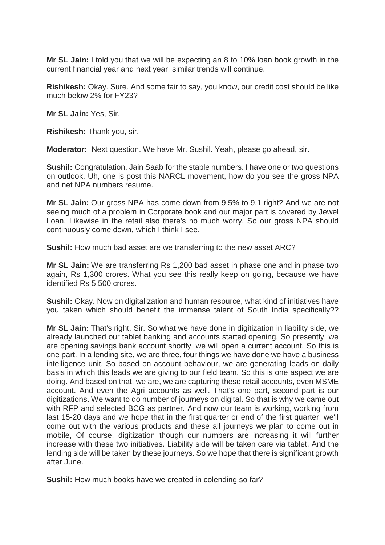**Mr SL Jain:** I told you that we will be expecting an 8 to 10% loan book growth in the current financial year and next year, similar trends will continue.

**Rishikesh:** Okay. Sure. And some fair to say, you know, our credit cost should be like much below 2% for FY23?

**Mr SL Jain:** Yes, Sir.

**Rishikesh:** Thank you, sir.

**Moderator:** Next question. We have Mr. Sushil. Yeah, please go ahead, sir.

**Sushil:** Congratulation, Jain Saab for the stable numbers. I have one or two questions on outlook. Uh, one is post this NARCL movement, how do you see the gross NPA and net NPA numbers resume.

**Mr SL Jain:** Our gross NPA has come down from 9.5% to 9.1 right? And we are not seeing much of a problem in Corporate book and our major part is covered by Jewel Loan. Likewise in the retail also there's no much worry. So our gross NPA should continuously come down, which I think I see.

**Sushil:** How much bad asset are we transferring to the new asset ARC?

**Mr SL Jain:** We are transferring Rs 1,200 bad asset in phase one and in phase two again, Rs 1,300 crores. What you see this really keep on going, because we have identified Rs 5,500 crores.

**Sushil:** Okay. Now on digitalization and human resource, what kind of initiatives have you taken which should benefit the immense talent of South India specifically??

**Mr SL Jain:** That's right, Sir. So what we have done in digitization in liability side, we already launched our tablet banking and accounts started opening. So presently, we are opening savings bank account shortly, we will open a current account. So this is one part. In a lending site, we are three, four things we have done we have a business intelligence unit. So based on account behaviour, we are generating leads on daily basis in which this leads we are giving to our field team. So this is one aspect we are doing. And based on that, we are, we are capturing these retail accounts, even MSME account. And even the Agri accounts as well. That's one part, second part is our digitizations. We want to do number of journeys on digital. So that is why we came out with RFP and selected BCG as partner. And now our team is working, working from last 15-20 days and we hope that in the first quarter or end of the first quarter, we'll come out with the various products and these all journeys we plan to come out in mobile, Of course, digitization though our numbers are increasing it will further increase with these two initiatives. Liability side will be taken care via tablet. And the lending side will be taken by these journeys. So we hope that there is significant growth after June.

**Sushil:** How much books have we created in colending so far?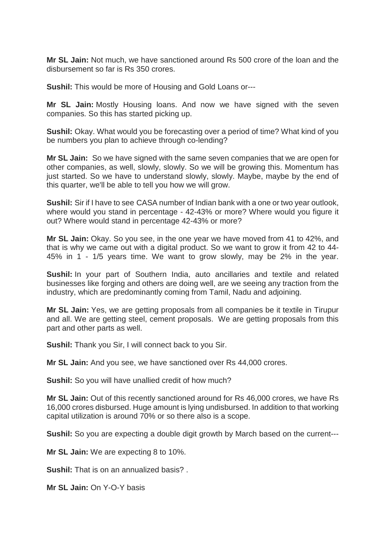**Mr SL Jain:** Not much, we have sanctioned around Rs 500 crore of the loan and the disbursement so far is Rs 350 crores.

**Sushil:** This would be more of Housing and Gold Loans or---

**Mr SL Jain:** Mostly Housing loans. And now we have signed with the seven companies. So this has started picking up.

**Sushil:** Okay. What would you be forecasting over a period of time? What kind of you be numbers you plan to achieve through co-lending?

**Mr SL Jain:** So we have signed with the same seven companies that we are open for other companies, as well, slowly, slowly. So we will be growing this. Momentum has just started. So we have to understand slowly, slowly. Maybe, maybe by the end of this quarter, we'll be able to tell you how we will grow.

**Sushil:** Sir if I have to see CASA number of Indian bank with a one or two year outlook, where would you stand in percentage - 42-43% or more? Where would you figure it out? Where would stand in percentage 42-43% or more?

**Mr SL Jain:** Okay. So you see, in the one year we have moved from 41 to 42%, and that is why we came out with a digital product. So we want to grow it from 42 to 44- 45% in 1 - 1/5 years time. We want to grow slowly, may be 2% in the year.

**Sushil:** In your part of Southern India, auto ancillaries and textile and related businesses like forging and others are doing well, are we seeing any traction from the industry, which are predominantly coming from Tamil, Nadu and adjoining.

**Mr SL Jain:** Yes, we are getting proposals from all companies be it textile in Tirupur and all. We are getting steel, cement proposals. We are getting proposals from this part and other parts as well.

**Sushil:** Thank you Sir, I will connect back to you Sir.

**Mr SL Jain:** And you see, we have sanctioned over Rs 44,000 crores.

**Sushil:** So you will have unallied credit of how much?

**Mr SL Jain:** Out of this recently sanctioned around for Rs 46,000 crores, we have Rs 16,000 crores disbursed. Huge amount is lying undisbursed. In addition to that working capital utilization is around 70% or so there also is a scope.

**Sushil:** So you are expecting a double digit growth by March based on the current---

**Mr SL Jain:** We are expecting 8 to 10%.

**Sushil:** That is on an annualized basis? .

**Mr SL Jain:** On Y-O-Y basis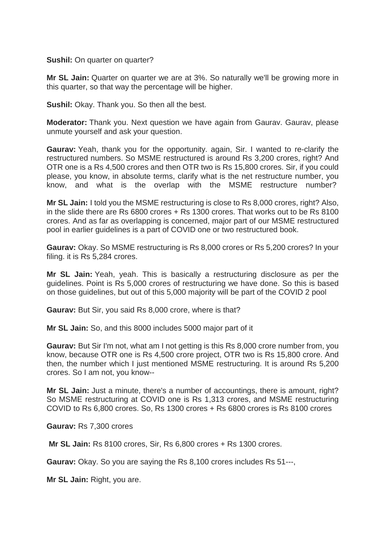**Sushil:** On quarter on quarter?

**Mr SL Jain:** Quarter on quarter we are at 3%. So naturally we'll be growing more in this quarter, so that way the percentage will be higher.

**Sushil:** Okay. Thank you. So then all the best.

**Moderator:** Thank you. Next question we have again from Gaurav. Gaurav, please unmute yourself and ask your question.

**Gaurav:** Yeah, thank you for the opportunity. again, Sir. I wanted to re-clarify the restructured numbers. So MSME restructured is around Rs 3,200 crores, right? And OTR one is a Rs 4,500 crores and then OTR two is Rs 15,800 crores. Sir, if you could please, you know, in absolute terms, clarify what is the net restructure number, you know, and what is the overlap with the MSME restructure number?

**Mr SL Jain:** I told you the MSME restructuring is close to Rs 8,000 crores, right? Also, in the slide there are Rs 6800 crores + Rs 1300 crores. That works out to be Rs 8100 crores. And as far as overlapping is concerned, major part of our MSME restructured pool in earlier guidelines is a part of COVID one or two restructured book.

**Gaurav:** Okay. So MSME restructuring is Rs 8,000 crores or Rs 5,200 crores? In your filing. it is Rs 5,284 crores.

**Mr SL Jain:** Yeah, yeah. This is basically a restructuring disclosure as per the guidelines. Point is Rs 5,000 crores of restructuring we have done. So this is based on those guidelines, but out of this 5,000 majority will be part of the COVID 2 pool

**Gaurav:** But Sir, you said Rs 8,000 crore, where is that?

**Mr SL Jain:** So, and this 8000 includes 5000 major part of it

**Gaurav:** But Sir I'm not, what am I not getting is this Rs 8,000 crore number from, you know, because OTR one is Rs 4,500 crore project, OTR two is Rs 15,800 crore. And then, the number which I just mentioned MSME restructuring. It is around Rs 5,200 crores. So I am not, you know--

**Mr SL Jain:** Just a minute, there's a number of accountings, there is amount, right? So MSME restructuring at COVID one is Rs 1,313 crores, and MSME restructuring COVID to Rs 6,800 crores. So, Rs 1300 crores + Rs 6800 crores is Rs 8100 crores

**Gaurav:** Rs 7,300 crores

**Mr SL Jain:** Rs 8100 crores, Sir, Rs 6,800 crores + Rs 1300 crores.

**Gaurav:** Okay. So you are saying the Rs 8,100 crores includes Rs 51---,

**Mr SL Jain:** Right, you are.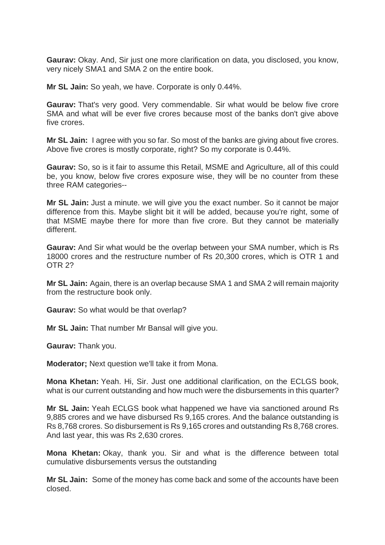**Gaurav:** Okay. And, Sir just one more clarification on data, you disclosed, you know, very nicely SMA1 and SMA 2 on the entire book.

**Mr SL Jain:** So yeah, we have. Corporate is only 0.44%.

**Gaurav:** That's very good. Very commendable. Sir what would be below five crore SMA and what will be ever five crores because most of the banks don't give above five crores.

**Mr SL Jain:** I agree with you so far. So most of the banks are giving about five crores. Above five crores is mostly corporate, right? So my corporate is 0.44%.

**Gaurav:** So, so is it fair to assume this Retail, MSME and Agriculture, all of this could be, you know, below five crores exposure wise, they will be no counter from these three RAM categories--

**Mr SL Jain:** Just a minute. we will give you the exact number. So it cannot be major difference from this. Maybe slight bit it will be added, because you're right, some of that MSME maybe there for more than five crore. But they cannot be materially different.

**Gaurav:** And Sir what would be the overlap between your SMA number, which is Rs 18000 crores and the restructure number of Rs 20,300 crores, which is OTR 1 and OTR 2?

**Mr SL Jain:** Again, there is an overlap because SMA 1 and SMA 2 will remain majority from the restructure book only.

**Gaurav:** So what would be that overlap?

**Mr SL Jain:** That number Mr Bansal will give you.

**Gaurav:** Thank you.

**Moderator;** Next question we'll take it from Mona.

**Mona Khetan:** Yeah. Hi, Sir. Just one additional clarification, on the ECLGS book, what is our current outstanding and how much were the disbursements in this quarter?

**Mr SL Jain:** Yeah ECLGS book what happened we have via sanctioned around Rs 9,885 crores and we have disbursed Rs 9,165 crores. And the balance outstanding is Rs 8,768 crores. So disbursement is Rs 9,165 crores and outstanding Rs 8,768 crores. And last year, this was Rs 2,630 crores.

**Mona Khetan:** Okay, thank you. Sir and what is the difference between total cumulative disbursements versus the outstanding

**Mr SL Jain:** Some of the money has come back and some of the accounts have been closed.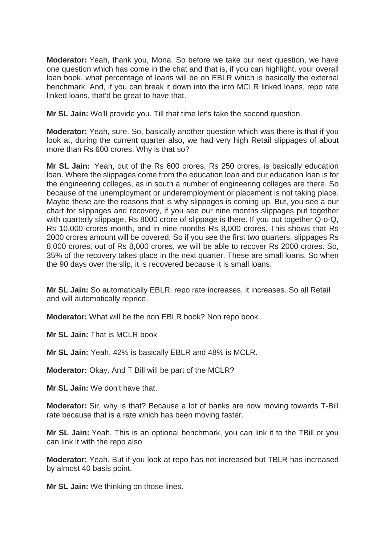**Moderator:** Yeah, thank you, Mona. So before we take our next question, we have one question which has come in the chat and that is, if you can highlight, your overall loan book, what percentage of loans will be on EBLR which is basically the external benchmark. And, if you can break it down into the into MCLR linked loans, repo rate linked loans, that'd be great to have that.

**Mr SL Jain:** We'll provide you. Till that time let's take the second question.

**Moderator:** Yeah, sure. So, basically another question which was there is that if you look at, during the current quarter also, we had very high Retail slippages of about more than Rs 600 crores. Why is that so?

**Mr SL Jain:** Yeah, out of the Rs 600 crores, Rs 250 crores, is basically education loan. Where the slippages come from the education loan and our education loan is for the engineering colleges, as in south a number of engineering colleges are there. So because of the unemployment or underemployment or placement is not taking place. Maybe these are the reasons that is why slippages is coming up. But, you see a our chart for slippages and recovery, if you see our nine months slippages put together with quarterly slippage, Rs 8000 crore of slippage is there. If you put together Q-o-Q, Rs 10,000 crores month, and in nine months Rs 8,000 crores. This shows that Rs 2000 crores amount will be covered. So if you see the first two quarters, slippages Rs 8,000 crores, out of Rs 8,000 crores, we will be able to recover Rs 2000 crores. So, 35% of the recovery takes place in the next quarter. These are small loans. So when the 90 days over the slip, it is recovered because it is small loans.

**Mr SL Jain:** So automatically EBLR, repo rate increases, it increases. So all Retail and will automatically reprice.

**Moderator:** What will be the non EBLR book? Non repo book.

**Mr SL Jain: That is MCLR book** 

**Mr SL Jain:** Yeah, 42% is basically EBLR and 48% is MCLR.

**Moderator:** Okay. And T Bill will be part of the MCLR?

**Mr SL Jain:** We don't have that.

**Moderator:** Sir, why is that? Because a lot of banks are now moving towards T-Bill rate because that is a rate which has been moving faster.

**Mr SL Jain:** Yeah. This is an optional benchmark, you can link it to the TBill or you can link it with the repo also

**Moderator:** Yeah. But if you look at repo has not increased but TBLR has increased by almost 40 basis point.

**Mr SL Jain:** We thinking on those lines.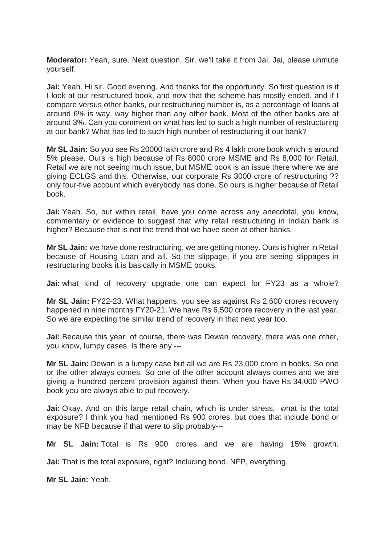**Moderator:** Yeah, sure. Next question, Sir, we'll take it from Jai. Jai, please unmute yourself.

**Jai:** Yeah. Hi sir. Good evening. And thanks for the opportunity. So first question is if I look at our restructured book, and now that the scheme has mostly ended, and if I compare versus other banks, our restructuring number is, as a percentage of loans at around 6% is way, way higher than any other bank. Most of the other banks are at around 3%. Can you comment on what has led to such a high number of restructuring at our bank? What has led to such high number of restructuring it our bank?

**Mr SL Jain:** So you see Rs 20000 lakh crore and Rs 4 lakh crore book which is around 5% please. Ours is high because of Rs 8000 crore MSME and Rs 8,000 for Retail. Retail we are not seeing much issue, but MSME book is an issue there where we are giving ECLGS and this. Otherwise, our corporate Rs 3000 crore of restructuring ?? only four-five account which everybody has done. So ours is higher because of Retail book.

**Jai:** Yeah. So, but within retail, have you come across any anecdotal, you know, commentary or evidence to suggest that why retail restructuring in Indian bank is higher? Because that is not the trend that we have seen at other banks.

**Mr SL Jain:** we have done restructuring, we are getting money. Ours is higher in Retail because of Housing Loan and all. So the slippage, if you are seeing slippages in restructuring books it is basically in MSME books.

**Jai:** what kind of recovery upgrade one can expect for FY23 as a whole?

**Mr SL Jain:** FY22-23. What happens, you see as against Rs 2,600 crores recovery happened in nine months FY20-21. We have Rs 6,500 crore recovery in the last year. So we are expecting the similar trend of recovery in that next year too.

**Jai:** Because this year, of course, there was Dewan recovery, there was one other, you know, lumpy cases. Is there any ---

**Mr SL Jain:** Dewan is a lumpy case but all we are Rs 23,000 crore in books. So one or the other always comes. So one of the other account always comes and we are giving a hundred percent provision against them. When you have Rs 34,000 PWO book you are always able to put recovery.

**Jai:** Okay. And on this large retail chain, which is under stress, what is the total exposure? I think you had mentioned Rs 900 crores, but does that include bond or may be NFB because if that were to slip probably---

**Mr SL Jain:** Total is Rs 900 crores and we are having 15% growth.

**Jai:** That is the total exposure, right? Including bond, NFP, everything.

**Mr SL Jain:** Yeah.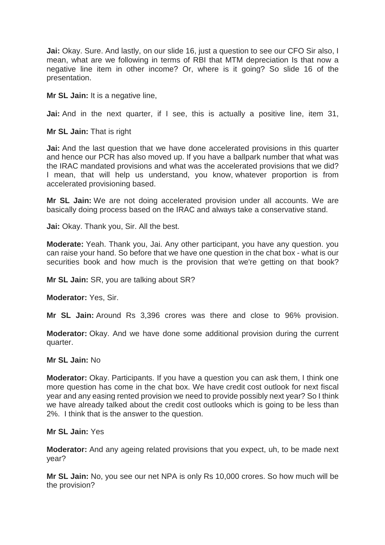**Jai:** Okay. Sure. And lastly, on our slide 16, just a question to see our CFO Sir also, I mean, what are we following in terms of RBI that MTM depreciation Is that now a negative line item in other income? Or, where is it going? So slide 16 of the presentation.

**Mr SL Jain:** It is a negative line,

**Jai:** And in the next quarter, if I see, this is actually a positive line, item 31,

**Mr SL Jain:** That is right

**Jai:** And the last question that we have done accelerated provisions in this quarter and hence our PCR has also moved up. If you have a ballpark number that what was the IRAC mandated provisions and what was the accelerated provisions that we did? I mean, that will help us understand, you know, whatever proportion is from accelerated provisioning based.

**Mr SL Jain:** We are not doing accelerated provision under all accounts. We are basically doing process based on the IRAC and always take a conservative stand.

**Jai:** Okay. Thank you, Sir. All the best.

**Moderate:** Yeah. Thank you, Jai. Any other participant, you have any question. you can raise your hand. So before that we have one question in the chat box - what is our securities book and how much is the provision that we're getting on that book?

**Mr SL Jain:** SR, you are talking about SR?

**Moderator:** Yes, Sir.

**Mr SL Jain:** Around Rs 3,396 crores was there and close to 96% provision.

**Moderator:** Okay. And we have done some additional provision during the current quarter.

**Mr SL Jain:** No

**Moderator:** Okay. Participants. If you have a question you can ask them, I think one more question has come in the chat box. We have credit cost outlook for next fiscal year and any easing rented provision we need to provide possibly next year? So I think we have already talked about the credit cost outlooks which is going to be less than 2%. I think that is the answer to the question.

**Mr SL Jain:** Yes

**Moderator:** And any ageing related provisions that you expect, uh, to be made next year?

**Mr SL Jain:** No, you see our net NPA is only Rs 10,000 crores. So how much will be the provision?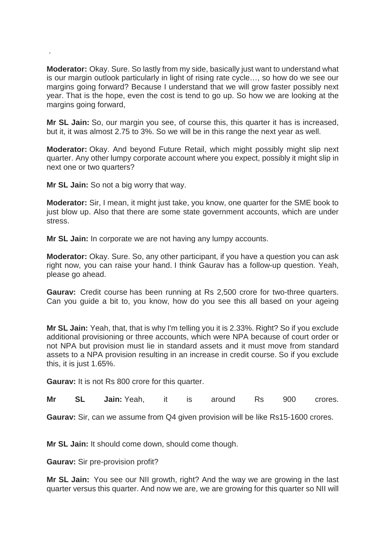**Moderator:** Okay. Sure. So lastly from my side, basically just want to understand what is our margin outlook particularly in light of rising rate cycle…, so how do we see our margins going forward? Because I understand that we will grow faster possibly next year. That is the hope, even the cost is tend to go up. So how we are looking at the margins going forward,

**Mr SL Jain:** So, our margin you see, of course this, this quarter it has is increased, but it, it was almost 2.75 to 3%. So we will be in this range the next year as well.

**Moderator:** Okay. And beyond Future Retail, which might possibly might slip next quarter. Any other lumpy corporate account where you expect, possibly it might slip in next one or two quarters?

**Mr SL Jain:** So not a big worry that way.

.

**Moderator:** Sir, I mean, it might just take, you know, one quarter for the SME book to just blow up. Also that there are some state government accounts, which are under stress.

**Mr SL Jain:** In corporate we are not having any lumpy accounts.

**Moderator:** Okay. Sure. So, any other participant, if you have a question you can ask right now, you can raise your hand. I think Gaurav has a follow-up question. Yeah, please go ahead.

**Gaurav:** Credit course has been running at Rs 2,500 crore for two-three quarters. Can you guide a bit to, you know, how do you see this all based on your ageing

**Mr SL Jain:** Yeah, that, that is why I'm telling you it is 2.33%. Right? So if you exclude additional provisioning or three accounts, which were NPA because of court order or not NPA but provision must lie in standard assets and it must move from standard assets to a NPA provision resulting in an increase in credit course. So if you exclude this, it is just 1.65%.

**Gaurav:** It is not Rs 800 crore for this quarter.

**Mr SL Jain:** Yeah, it is around Rs 900 crores.

**Gaurav:** Sir, can we assume from Q4 given provision will be like Rs15-1600 crores.

**Mr SL Jain:** It should come down, should come though.

**Gaurav:** Sir pre-provision profit?

**Mr SL Jain:** You see our NII growth, right? And the way we are growing in the last quarter versus this quarter. And now we are, we are growing for this quarter so NII will